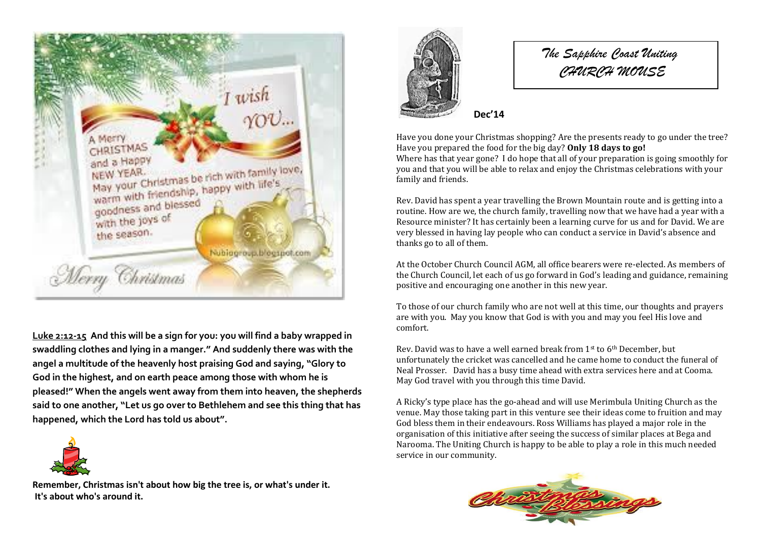

**[Luke 2:12-15](http://www.biblegateway.com/passage/?search=Luke+2%3A12-15&version=ESV) And this will be a sign for you: you will find a baby wrapped in swaddling clothes and lying in a manger." And suddenly there was with the angel a multitude of the heavenly host praising God and saying, "Glory to God in the highest, and on earth peace among those with whom he is pleased!" When the angels went away from them into heaven, the shepherds said to one another, "Let us go over to Bethlehem and see this thing that has happened, which the Lord has told us about".**



**Remember, Christmas isn't about how big the tree is, or what's under it. It's about who's around it.**



*The Sapphire Coast Uniting CHURCH MOUSE*

**Dec'14**

1

Have you done your Christmas shopping? Are the presents ready to go under the tree? Have you prepared the food for the big day? **Only 18 days to go!** Where has that year gone? I do hope that all of your preparation is going smoothly for you and that you will be able to relax and enjoy the Christmas celebrations with your family and friends.

Rev. David has spent a year travelling the Brown Mountain route and is getting into a routine. How are we, the church family, travelling now that we have had a year with a Resource minister? It has certainly been a learning curve for us and for David. We are very blessed in having lay people who can conduct a service in David's absence and thanks go to all of them.

At the October Church Council AGM, all office bearers were re-elected. As members of the Church Council, let each of us go forward in God's leading and guidance, remaining positive and encouraging one another in this new year.

To those of our church family who are not well at this time, our thoughts and prayers are with you. May you know that God is with you and may you feel His love and comfort.

Rev. David was to have a well earned break from 1st to 6th December, but unfortunately the cricket was cancelled and he came home to conduct the funeral of Neal Prosser. David has a busy time ahead with extra services here and at Cooma. May God travel with you through this time David.

A Ricky's type place has the go-ahead and will use Merimbula Uniting Church as the venue. May those taking part in this venture see their ideas come to fruition and may God bless them in their endeavours. Ross Williams has played a major role in the organisation of this initiative after seeing the success of similar places at Bega and Narooma. The Uniting Church is happy to be able to play a role in this much needed service in our community.

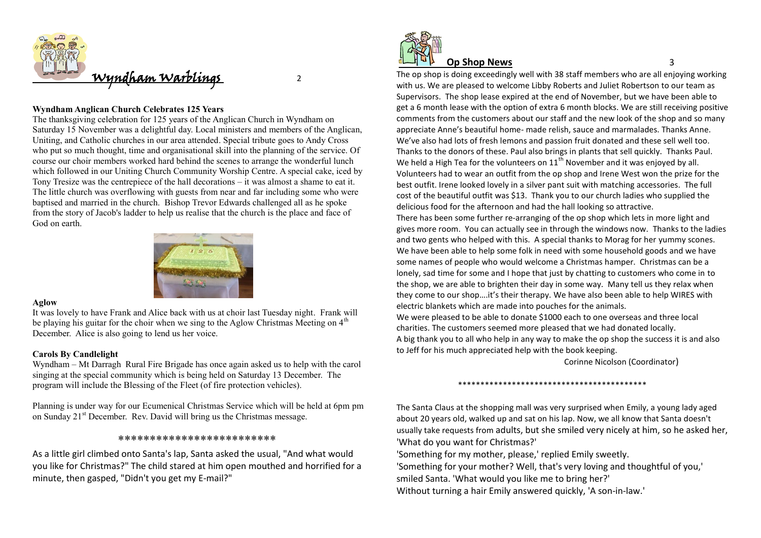

# **Wyndham Anglican Church Celebrates 125 Years**

The thanksgiving celebration for 125 years of the Anglican Church in Wyndham on Saturday 15 November was a delightful day. Local ministers and members of the Anglican, Uniting, and Catholic churches in our area attended. Special tribute goes to Andy Cross who put so much thought, time and organisational skill into the planning of the service. Of course our choir members worked hard behind the scenes to arrange the wonderful lunch which followed in our Uniting Church Community Worship Centre. A special cake, iced by Tony Tresize was the centrepiece of the hall decorations – it was almost a shame to eat it. The little church was overflowing with guests from near and far including some who were baptised and married in the church. Bishop Trevor Edwards challenged all as he spoke from the story of Jacob's ladder to help us realise that the church is the place and face of God on earth.



### **Aglow**

It was lovely to have Frank and Alice back with us at choir last Tuesday night. Frank will be playing his guitar for the choir when we sing to the Aglow Christmas Meeting on  $4<sup>th</sup>$ December. Alice is also going to lend us her voice.

## **Carols By Candlelight**

Wyndham – Mt Darragh Rural Fire Brigade has once again asked us to help with the carol singing at the special community which is being held on Saturday 13 December. The program will include the Blessing of the Fleet (of fire protection vehicles).

Planning is under way for our Ecumenical Christmas Service which will be held at 6pm pm on Sunday 21st December. Rev. David will bring us the Christmas message.

### \*\*\*\*\*\*\*\*\*\*\*\*\*\*\*\*\*\*\*\*\*\*\*\*\*

As a little girl climbed onto Santa's lap, Santa asked the usual, "And what would you like for Christmas?" The child stared at him open mouthed and horrified for a minute, then gasped, "Didn't you get my E-mail?"



# **Op Shop News** 3

The op shop is doing exceedingly well with 38 staff members who are all enjoying working with us. We are pleased to welcome Libby Roberts and Juliet Robertson to our team as Supervisors. The shop lease expired at the end of November, but we have been able to get a 6 month lease with the option of extra 6 month blocks. We are still receiving positive comments from the customers about our staff and the new look of the shop and so many appreciate Anne's beautiful home- made relish, sauce and marmalades. Thanks Anne. We've also had lots of fresh lemons and passion fruit donated and these sell well too. Thanks to the donors of these. Paul also brings in plants that sell quickly. Thanks Paul. We held a High Tea for the volunteers on  $11<sup>th</sup>$  November and it was enjoyed by all. Volunteers had to wear an outfit from the op shop and Irene West won the prize for the best outfit. Irene looked lovely in a silver pant suit with matching accessories. The full cost of the beautiful outfit was \$13. Thank you to our church ladies who supplied the delicious food for the afternoon and had the hall looking so attractive. There has been some further re-arranging of the op shop which lets in more light and gives more room. You can actually see in through the windows now. Thanks to the ladies and two gents who helped with this. A special thanks to Morag for her yummy scones. We have been able to help some folk in need with some household goods and we have some names of people who would welcome a Christmas hamper. Christmas can be a lonely, sad time for some and I hope that just by chatting to customers who come in to the shop, we are able to brighten their day in some way. Many tell us they relax when they come to our shop….it's their therapy. We have also been able to help WIRES with electric blankets which are made into pouches for the animals.

We were pleased to be able to donate \$1000 each to one overseas and three local charities. The customers seemed more pleased that we had donated locally. A big thank you to all who help in any way to make the op shop the success it is and also to Jeff for his much appreciated help with the book keeping.

Corinne Nicolson (Coordinator)

### \*\*\*\*\*\*\*\*\*\*\*\*\*\*\*\*\*\*\*\*\*\*\*\*\*\*\*\*\*\*\*\*\*\*\*\*\*\*\*\*\*\*

The Santa Claus at the shopping mall was very surprised when Emily, a young lady aged about 20 years old, walked up and sat on his lap. Now, we all know that Santa doesn't usually take requests from adults, but she smiled very nicely at him, so he asked her, 'What do you want for Christmas?'

'Something for my mother, please,' replied Emily sweetly.

'Something for your mother? Well, that's very loving and thoughtful of you,' smiled Santa. 'What would you like me to bring her?'

Without turning a hair Emily answered quickly, 'A son-in-law.'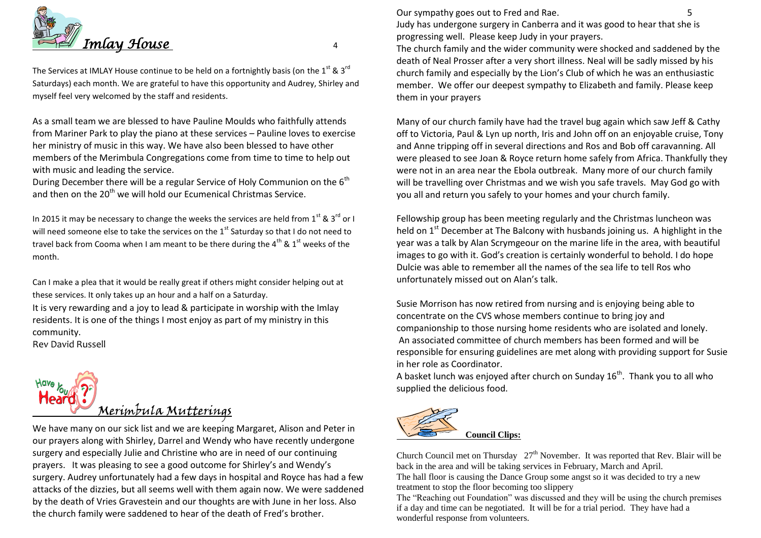

The Services at IMLAY House continue to be held on a fortnightly basis (on the 1<sup>st</sup> & 3<sup>rd</sup> Saturdays) each month. We are grateful to have this opportunity and Audrey, Shirley and myself feel very welcomed by the staff and residents.

As a small team we are blessed to have Pauline Moulds who faithfully attends from Mariner Park to play the piano at these services – Pauline loves to exercise her ministry of music in this way. We have also been blessed to have other members of the Merimbula Congregations come from time to time to help out with music and leading the service.

During December there will be a regular Service of Holy Communion on the  $6<sup>th</sup>$ and then on the 20<sup>th</sup> we will hold our Ecumenical Christmas Service.

In 2015 it may be necessary to change the weeks the services are held from  $1^{st}$  &  $3^{rd}$  or I will need someone else to take the services on the  $1<sup>st</sup>$  Saturday so that I do not need to travel back from Cooma when I am meant to be there during the  $4^{\text{th}}$  &  $1^{\text{st}}$  weeks of the month.

Can I make a plea that it would be really great if others might consider helping out at these services. It only takes up an hour and a half on a Saturday.

It is very rewarding and a joy to lead & participate in worship with the Imlay residents. It is one of the things I most enjoy as part of my ministry in this community.

Rev David Russell



We have many on our sick list and we are keeping Margaret, Alison and Peter in our prayers along with Shirley, Darrel and Wendy who have recently undergone surgery and especially Julie and Christine who are in need of our continuing prayers. It was pleasing to see a good outcome for Shirley's and Wendy's surgery. Audrey unfortunately had a few days in hospital and Royce has had a few attacks of the dizzies, but all seems well with them again now. We were saddened by the death of Vries Gravestein and our thoughts are with June in her loss. Also the church family were saddened to hear of the death of Fred's brother.

Our sympathy goes out to Fred and Rae. 5

Judy has undergone surgery in Canberra and it was good to hear that she is progressing well. Please keep Judy in your prayers.

The church family and the wider community were shocked and saddened by the death of Neal Prosser after a very short illness. Neal will be sadly missed by his church family and especially by the Lion's Club of which he was an enthusiastic member. We offer our deepest sympathy to Elizabeth and family. Please keep them in your prayers

Many of our church family have had the travel bug again which saw Jeff & Cathy off to Victoria, Paul & Lyn up north, Iris and John off on an enjoyable cruise, Tony and Anne tripping off in several directions and Ros and Bob off caravanning. All were pleased to see Joan & Royce return home safely from Africa. Thankfully they were not in an area near the Ebola outbreak. Many more of our church family will be travelling over Christmas and we wish you safe travels. May God go with you all and return you safely to your homes and your church family.

Fellowship group has been meeting regularly and the Christmas luncheon was held on  $1<sup>st</sup>$  December at The Balcony with husbands joining us. A highlight in the year was a talk by Alan Scrymgeour on the marine life in the area, with beautiful images to go with it. God's creation is certainly wonderful to behold. I do hope Dulcie was able to remember all the names of the sea life to tell Ros who unfortunately missed out on Alan's talk.

Susie Morrison has now retired from nursing and is enjoying being able to concentrate on the CVS whose members continue to bring joy and companionship to those nursing home residents who are isolated and lonely. An associated committee of church members has been formed and will be responsible for ensuring guidelines are met along with providing support for Susie in her role as Coordinator.

A basket lunch was enjoyed after church on Sunday  $16<sup>th</sup>$ . Thank you to all who supplied the delicious food.



Church Council met on Thursday  $27<sup>th</sup>$  November. It was reported that Rev. Blair will be back in the area and will be taking services in February, March and April. The hall floor is causing the Dance Group some angst so it was decided to try a new treatment to stop the floor becoming too slippery The "Reaching out Foundation" was discussed and they will be using the church premises if a day and time can be negotiated. It will be for a trial period. They have had a wonderful response from volunteers.